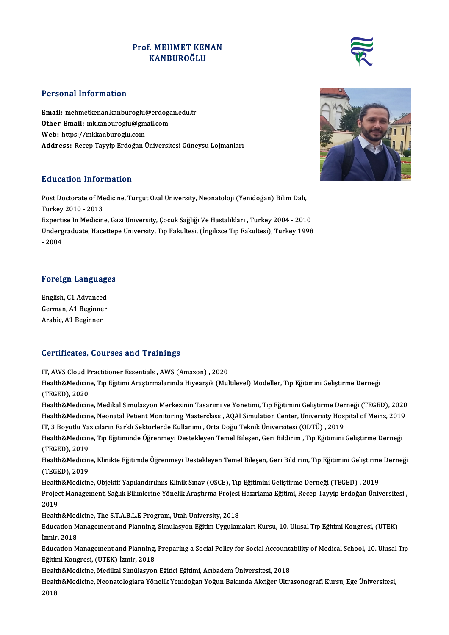## **Prof. MEHMET KENAN<br>KANBUROĞLU** :<br>MEHMET KEN:<br>KANBUROĞLU



Email:mehmetkenan.kanburoglu@erdogan.edu.tr r croomar miror matton<br>Email: mehmetkenan.kanburoglu@erdoga<br>Other Email: mkkanburoglu@gmail.com<br>Web: https://mkkanburoglu.com Email: mehmetkenan.kanburoglu@<br>Other Email: mkkanburoglu@gma<br>Web: https://mkkanburoglu.com<br>Address: Besen Tayyin Erdeğan Ü Web: https://mkkanburoglu.com<br>Address: Recep Tayyip Erdoğan Üniversitesi Güneysu Lojmanları

## Education Information

**Education Information**<br>Post Doctorate of Medicine, Turgut Ozal University, Neonatoloji (Yenidoğan) Bilim Dalı,<br>Turkey 2010, 2012 Post Doctorate of Me<br>Turkey 2010 - 2013<br>Evnestiss In Medicin Post Doctorate of Medicine, Turgut Ozal University, Neonatoloji (Yenidoğan) Bilim Dalı,<br>Turkey 2010 - 2013<br>Expertise In Medicine, Gazi University, Çocuk Sağlığı Ve Hastalıkları , Turkey 2004 - 2010<br>Undergraduate Hasettone Turkey 2010 - 2013<br>Expertise In Medicine, Gazi University, Çocuk Sağlığı Ve Hastalıkları , Turkey 2004 - 2010<br>Undergraduate, Hacettepe University, Tıp Fakültesi, (İngilizce Tıp Fakültesi), Turkey 1998<br>2004

Experti<br>Underg<br>- 2004

## Foreign Languages

Foreign Language<br>English, C1 Advanced<br>Corman A1 Boginner German, A1 Beginner<br>Arabic, A1 Beginner English, C1 Advancee<br>German, A1 Beginne<br>Arabic, A1 Beginner

## Certificates, Courses and Trainings

Certificates, Courses and Trainings<br>IT, AWS Cloud Practitioner Essentials , AWS (Amazon) , 2020<br>Health&Medicine, Tın Fğitimi Arastırmalarında Hiyearsik (Mul

Health&Medicine, Tıp Eğitimi Araştırmalarında Hiyearşik (Multilevel) Modeller, Tıp Eğitimini Geliştirme Derneği<br>(TEGED), 2020 IT, AWS Cloud P<br>Health&Medicin<br>(TEGED), 2020<br>Health&Medicin Health&Medicine, Tıp Eğitimi Araştırmalarında Hiyearşik (Multilevel) Modeller, Tıp Eğitimini Geliştirme Derneği<br>(TEGED), 2020<br>Health&Medicine, Medikal Simülasyon Merkezinin Tasarımı ve Yönetimi, Tıp Eğitimini Geliştirme De

(TEGED), 2020<br>Health&Medicine, Medikal Simülasyon Merkezinin Tasarımı ve Yönetimi, Tıp Eğitimini Geliştirme Derneği (TEGED), 2020<br>Health&Medicine, Neonatal Petient Monitoring Masterclass , AQAI Simulation Center, Universit Health&Medicine, Medikal Simülasyon Merkezinin Tasarımı ve Yönetimi, Tıp Eğitimini Geliştirme Der<br>Health&Medicine, Neonatal Petient Monitoring Masterclass , AQAI Simulation Center, University Hos<sub>l</sub><br>IT, 3 Boyutlu Yazıcılar Health&Medicine, Neonatal Petient Monitoring Masterclass , AQAI Simulation Center, University Hospital of Meinz, 2019<br>IT, 3 Boyutlu Yazıcıların Farklı Sektörlerde Kullanımı , Orta Doğu Teknik Üniversitesi (ODTÜ) , 2019<br>Hea

IT, 3 Boyutlu Ya<br>Health&Medicin<br>(TEGED), 2019<br>Health&Medicin Health&Medicine, Tıp Eğitiminde Öğrenmeyi Destekleyen Temel Bileşen, Geri Bildirim , Tıp Eğitimini Geliştirme Derneği<br>(TEGED), 2019<br>Health&Medicine, Klinikte Eğitimde Öğrenmeyi Destekleyen Temel Bileşen, Geri Bildirim, Tıp

(TEGED), 2019<br>Health&Medicin<br>(TEGED), 2019<br>Health&Medicin Health&Medicine, Klinikte Eğitimde Öğrenmeyi Destekleyen Temel Bileşen, Geri Bildirim, Tıp Eğitimini Geliştirme<br>(TEGED), 2019<br>Health&Medicine, Objektif Yapılandırılmış Klinik Sınav (OSCE), Tıp Eğitimini Geliştirme Derneği

(TEGED), 2019<br>Health&Medicine, Objektif Yapılandırılmış Klinik Sınav (OSCE), Tıp Eğitimini Geliştirme Derneği (TEGED) , 2019<br>Project Management, Sağlık Bilimlerine Yönelik Araştırma Projesi Hazırlama Eğitimi, Recep Tayyip Health&Medicine, Objektif Yapılandırılmış Klinik Sınav (OSCE), Tıp Eğitimini Geliştirme Derneği (TEGED) , 2019<br>Project Management, Sağlık Bilimlerine Yönelik Araştırma Projesi Hazırlama Eğitimi, Recep Tayyip Erdoğan Üni<br>20 Project Management, Sağlık Bilimlerine Yönelik Araştırma Projesi<br>2019<br>Health&Medicine, The S.T.A.B.L.E Program, Utah University, 2018<br>Education Management and Planning, Simulasyon Fĕitim Uygulam

Health&Medicine, The S.T.A.B.L.E Program, Utah University, 2018

Education Management and Planning, Simulasyon Eğitim Uygulamaları Kursu, 10. Ulusal Tıp Eğitimi Kongresi, (UTEK)<br>İzmir, 2018 Education Management and Planning, Simulasyon Eğitim Uygulamaları Kursu, 10. Ulusal Tıp Eğitimi Kongresi, (UTEK)<br>İzmir, 2018<br>Education Management and Planning, Preparing a Social Policy for Social Accountability of Medical

İzmir, 2018<br>Education Management and Planning,<br>Eğitimi Kongresi, (UTEK) İzmir, 2018<br>Health&Medisine Medikal Simülasyon Education Management and Planning, Preparing a Social Policy for Social Accounta<br>Eğitimi Kongresi, (UTEK) İzmir, 2018<br>Health&Medicine, Medikal Simülasyon Eğitici Eğitimi, Acıbadem Üniversitesi, 2018<br>Health&Medicine, Neonat

Health&Medicine, Medikal Simülasyon Eğitici Eğitimi, Acıbadem Üniversitesi, 2018

Eğitimi Kongresi, (UTEK) İzmir, 2018<br>Health&Medicine, Medikal Simülasyon Eğitici Eğitimi, Acıbadem Üniversitesi, 2018<br>Health&Medicine, Neonatologlara Yönelik Yenidoğan Yoğun Bakımda Akciğer Ultrasonografi Kursu, Ege Üniver



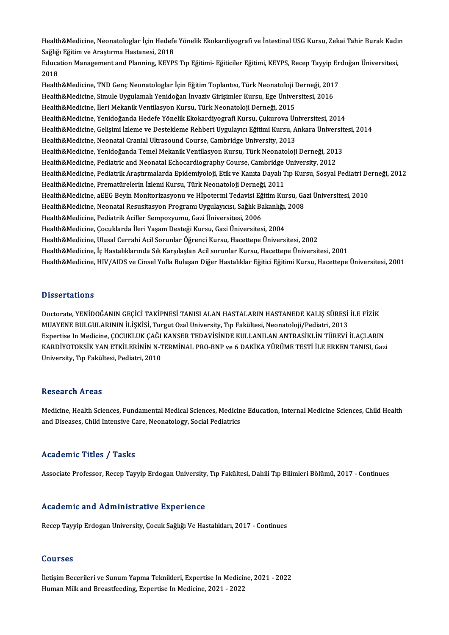Health&Medicine, Neonatologlar İçin Hedefe Yönelik Ekokardiyografi ve İntestinal USG Kursu, Zekai Tahir Burak Kadın<br>Seğliği Eğitim ve Anatıyma Hastanasi, 2019 Health&Medicine, Neonatologlar İçin Hedefe<br>Sağlığı Eğitim ve Araştırma Hastanesi, 2018<br>Edusation Management and Planning, KEVP Health&Medicine, Neonatologlar İçin Hedefe Yönelik Ekokardiyografi ve İntestinal USG Kursu, Zekai Tahir Burak Kadı<br>Sağlığı Eğitim ve Araştırma Hastanesi, 2018<br>Education Management and Planning, KEYPS Tıp Eğitimi- Eğiticile

Sağlığı Eğitim ve Araştırma Hastanesi, 2018<br>Education Management and Planning, KEYPS Tıp Eğitimi- Eğiticiler Eğitimi, KEYPS, Recep Tayyip Erdoğan Üniversitesi,<br>2018 Education Management and Planning, KEYPS Tıp Eğitimi- Eğiticiler Eğitimi, KEYPS, Recep Tayyip Er<br>2018<br>Health&Medicine, TND Genç Neonatologlar İçin Eğitim Toplantısı, Türk Neonatoloji Derneği, 2017<br>Health&Medicine, Simule U

2018<br>Health&Medicine, TND Genç Neonatologlar İçin Eğitim Toplantısı, Türk Neonatoloji Derneği, 2011<br>Health&Medicine, Simule Uygulamalı Yenidoğan İnvaziv Girişimler Kursu, Ege Üniversitesi, 2016<br>Health&Medicine, İleri Mekan Health&Medicine, TND Genç Neonatologlar İçin Eğitim Toplantısı, Türk Neonatoloji I<br>Health&Medicine, Simule Uygulamalı Yenidoğan İnvaziv Girişimler Kursu, Ege Üniver<br>Health&Medicine, İleri Mekanik Ventilasyon Kursu, Türk Ne Health&Medicine, Simule Uygulamalı Yenidoğan İnvaziv Girişimler Kursu, Ege Üniversitesi, 2016<br>Health&Medicine, İleri Mekanik Ventilasyon Kursu, Türk Neonatoloji Derneği, 2015<br>Health&Medicine, Yenidoğanda Hedefe Yönelik Eko Health&Medicine, Gelisimi İzleme ve Destekleme Rehberi Uygulayıcı Eğitimi Kursu, Ankara Üniversitesi, 2014 Health&Medicine, Neonatal Cranial Ultrasound Course, Cambridge University, 2013 Health&Medicine, Gelişimi İzleme ve Destekleme Rehberi Uygulayıcı Eğitimi Kursu, Ankara Üniversit<br>Health&Medicine, Neonatal Cranial Ultrasound Course, Cambridge University, 2013<br>Health&Medicine, Yenidoğanda Temel Mekanik V Health&Medicine, Neonatal Cranial Ultrasound Course, Cambridge University, 2013<br>Health&Medicine, Yenidoğanda Temel Mekanik Ventilasyon Kursu, Türk Neonatoloji Derneği, 201<br>Health&Medicine, Pediatric and Neonatal Echocardio Health&Medicine, Yenidoğanda Temel Mekanik Ventilasyon Kursu, Türk Neonatoloji Derneği, 2013<br>Health&Medicine, Pediatric and Neonatal Echocardiography Course, Cambridge University, 2012<br>Health&Medicine, Pediatrik Araştırmal Health&Medicine, Pediatric and Neonatal Echocardiography Course, Cambridge University, 2012<br>Health&Medicine, Pediatrik Araştırmalarda Epidemiyoloji, Etik ve Kanıta Dayalı Tıp Kursu, Sosyal<br>Health&Medicine, Prematürelerin İ Health&Medicine, Pediatrik Araştırmalarda Epidemiyoloji, Etik ve Kanıta Dayalı Tıp Kursu, Sosyal Pediatri De<br>Health&Medicine, Prematürelerin İzlemi Kursu, Türk Neonatoloji Derneği, 2011<br>Health&Medicine, aEEG Beyin Monitori Health&Medicine, Prematürelerin İzlemi Kursu, Türk Neonatoloji Derneği, 2011<br>Health&Medicine, aEEG Beyin Monitorizasyonu ve Hİpotermi Tedavisi Eğitim Kursu, Ga<br>Health&Medicine, Neonatal Resusitasyon Programı Uygulayıcısı, Health&Medicine, aEEG Beyin Monitorizasyonu ve Hİpotermi Tedavisi Eğ<br>Health&Medicine, Neonatal Resusitasyon Programı Uygulayıcısı, Sağlık Ba<br>Health&Medicine, Pediatrik Aciller Sempozyumu, Gazi Üniversitesi, 2006<br>Health&Med Health&Medicine, Neonatal Resusitasyon Programı Uygulayıcısı, Sağlık Bakanlığı, 2008<br>Health&Medicine, Pediatrik Aciller Sempozyumu, Gazi Üniversitesi, 2006<br>Health&Medicine, Cocuklarda İleri Yasam Desteği Kursu, Gazi Üniver Health&Medicine, Ulusal Cerrahi Acil Sorunlar Öğrenci Kursu, Hacettepe Üniversitesi, 2002 Health&Medicine, İç Hastalıklarında Sık Karşılaşlan Acil sorunlar Kursu, Hacettepe Üniversitesi, 2001 Health&Medicine, HIV/AIDS ve Cinsel Yolla Bulaşan Diğer Hastalıklar Eğitici Eğitimi Kursu, Hacettepe Üniversitesi, 2001

## **Dissertations**

Doctorate, YENİDOĞANIN GEÇİCİ TAKİPNESİ TANISI ALAN HASTALARIN HASTANEDE KALIŞ SÜRESİ İLE FİZİK MUAYENEBULGULARININİLİŞKİSİ,TurgutOzalUniversity,Tıp Fakültesi,Neonatoloji/Pediatri,2013 Expertise In Medicine, ÇOCUKLUK ÇAĞI KANSER TEDAVİSİNDE KULLANILAN ANTRASİKLİN TÜREVİ İLAÇLARIN KARDİYOTOKSİK YAN ETKİLERİNİN N-TERMİNAL PRO-BNP ve 6 DAKİKA YÜRÜME TESTİ İLE ERKEN TANISI, Gazi University, Tıp Fakültesi, Pediatri, 2010

### **Research Areas**

Research Areas<br>Medicine, Health Sciences, Fundamental Medical Sciences, Medicine Education, Internal Medicine Sciences, Child Health<br>and Diseases, Child Intensive Care, Neonatelegy, Secial Bediatrics rcoocar on 111 cao<br>Medicine, Health Sciences, Fundamental Medical Sciences, Medicin<br>and Diseases, Child Intensive Care, Neonatology, Social Pediatrics and Diseases, Child Intensive Care, Neonatology, Social Pediatrics<br>Academic Titles / Tasks

Associate Professor, Recep Tayyip Erdogan University, Tıp Fakültesi, Dahili Tıp Bilimleri Bölümü, 2017 - Continues

#### Academic and Administrative Experience

Recep Tayyip Erdogan University, Çocuk Sağlığı Ve Hastalıkları, 2017 - Continues

#### Courses

İletişim Becerileri ve Sunum Yapma Teknikleri, Expertise In Medicine, 2021 - 2022 Human Milk and Breastfeeding, Expertise In Medicine, 2021 - 2022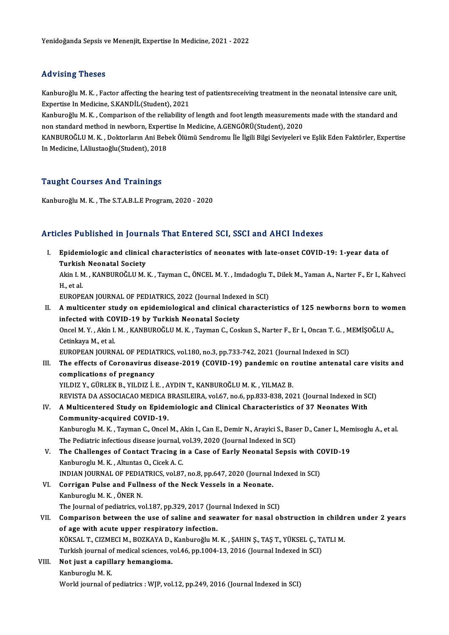## Advising Theses

Advising Theses<br>Kanburoğlu M. K. , Factor affecting the hearing test of patientsreceiving treatment in the neonatal intensive care unit,<br>Expertise In Medisine, S.KANDU (Student), 2021 11<br>Kanburoğlu M. K. , Factor affecting the hearing te<br>Expertise In Medicine, S.KANDİL(Student), 2021<br>Kanburoğlu M. K., Comparison of the reliability o Kanburoğlu M. K. , Factor affecting the hearing test of patientsreceiving treatment in the neonatal intensive care unit,<br>Expertise In Medicine, S.KANDİL(Student), 2021<br>Kanburoğlu M. K. , Comparison of the reliability of le

Expertise In Medicine, S.KANDİL(Student), 2021<br>Kanburoğlu M. K. , Comparison of the reliability of length and foot length measuremen<br>non standard method in newborn, Expertise In Medicine, A.GENGÖRÜ(Student), 2020<br>KANPUROČL Kanburoğlu M. K. , Comparison of the reliability of length and foot length measurements made with the standard and<br>non standard method in newborn, Expertise In Medicine, A.GENGÖRÜ(Student), 2020<br>KANBUROĞLU M. K. , Doktorla

non standard method in newborn, Expertise In Medicine, A.GENGÖRÜ(Student), 2020<br>KANBUROĞLU M. K. , Doktorların Ani Bebek Ölümü Sendromu İle İlgili Bilgi Seviyeleri ve Eşlik Eden Faktörler, Expertise<br>In Medicine, İ.Aliustao

## Taught Courses And Trainings

KanburoğluM.K. ,The S.T.A.B.L.EProgram,2020 -2020

## Articles Published in Journals That Entered SCI, SSCI and AHCI Indexes

rticles Published in Journals That Entered SCI, SSCI and AHCI Indexes<br>I. Epidemiologic and clinical characteristics of neonates with late-onset COVID-19: 1-year data of<br>Turkish Neonatal Society Epidemiologic and clinical<br>Turkish Neonatal Society<br>Alin L.M. KANBUPOČLUM Epidemiologic and clinical characteristics of neonates with late-onset COVID-19: 1-year data of<br>Turkish Neonatal Society<br>Akin I. M. , KANBUROĞLU M. K. , Tayman C., ÖNCEL M. Y. , Imdadoglu T., Dilek M., Yaman A., Narter F., Turkish<br>Akin I. M<br>H., et al.<br>EUROPE Akin I. M. , KANBUROĞLU M. K. , Tayman C., ÖNCEL M. Y. , Imdadoglu ]<br>H., et al.<br>EUROPEAN JOURNAL OF PEDIATRICS, 2022 (Journal Indexed in SCI)<br>A multiconter study on opidemiological and clinical sharester H., et al.<br>EUROPEAN JOURNAL OF PEDIATRICS, 2022 (Journal Indexed in SCI)<br>II. A multicenter study on epidemiological and clinical characteristics of 125 newborns born to women<br>infected with COVID 19 by Turkish Neopotel Seci EUROPEAN JOURNAL OF PEDIATRICS, 2022 (Journal Indexe<br>A multicenter study on epidemiological and clinical c<br>infected with COVID-19 by Turkish Neonatal Society<br>Ongel M. Y., Akin J. M., KANPUROČLU M. K., Tournan G. Coc A multicenter study on epidemiological and clinical characteristics of 125 newborns born to won<br>infected with COVID-19 by Turkish Neonatal Society<br>Oncel M.Y., Akin I. M., KANBUROĞLU M. K., Tayman C., Coskun S., Narter F.,

infected with COVID-19 by Turkish Neonatal Society<br>Oncel M. Y. , Akin I. M. , KANBUROĞLU M. K. , Tayman C., Coskun S., Narter F., Er I., Oncan T. G. , MEMİŞOĞLU A.,<br>Cetinkaya M., et al. Oncel M. Y. , Akin I. M. , KANBUROĞLU M. K. , Tayman C., Coskun S., Narter F., Er I., Oncan T. G. , M<br>Cetinkaya M., et al.<br>EUROPEAN JOURNAL OF PEDIATRICS, vol.180, no.3, pp.733-742, 2021 (Journal Indexed in SCI)<br>The effect

Cetinkaya M., et al.<br>EUROPEAN JOURNAL OF PEDIATRICS, vol.180, no.3, pp.733-742, 2021 (Journal Indexed in SCI)<br>III. The effects of Coronavirus disease-2019 (COVID-19) pandemic on routine antenatal care visits and<br>complicati EUROPEAN JOURNAL OF PEDIAT<br>The effects of Coronavirus do<br>complications of pregnancy<br>VILDIZ V. CUBLEK B. VILDIZ L.I The effects of Coronavirus disease-2019 (COVID-19) pandemic on r<br>complications of pregnancy<br>YILDIZ Y., GÜRLEK B., YILDIZ İ.E. , AYDIN T., KANBUROĞLU M.K. , YILMAZ B.<br>REVISTA DA ASSOCIACAO MEDICA BRASILEIRA .vol£7, po 6, pp

complications of pregnancy<br>YILDIZ Y., GÜRLEK B., YILDIZ İ. E. , AYDIN T., KANBUROĞLU M. K. , YILMAZ B.<br>REVISTA DA ASSOCIACAO MEDICA BRASILEIRA, vol.67, no.6, pp.833-838, 2021 (Journal Indexed in SCI)

## YILDIZ Y., GÜRLEK B., YILDIZ İ. E. , AYDIN T., KANBUROĞLU M. K. , YILMAZ B.<br>REVISTA DA ASSOCIACAO MEDICA BRASILEIRA, vol.67, no.6, pp.833-838, 2021 (Journal Indexed in SONTA DA ASSOCIACAO MEDICA BRASILEIRA, vol.67, no.6, p REVISTA DA ASSOCIACAO MEDICA I<br>A Multicentered Study on Epide<br>Community-acquired COVID-19.<br>Kanburesh: M. K., Tayman C. Onsel A Multicentered Study on Epidemiologic and Clinical Characteristics of 37 Neonates With<br>Community-acquired COVID-19.<br>Kanburoglu M. K. , Tayman C., Oncel M., Akin I., Can E., Demir N., Arayici S., Baser D., Caner I., Memiso

Community-acquired COVID-19.<br>Kanburoglu M. K. , Tayman C., Oncel M., Akin I., Can E., Demir N., Arayici S., Base<br>The Pediatric infectious disease journal, vol.39, 2020 (Journal Indexed in SCI)<br>The Challenges of Contact Tra Kanburoglu M. K., Tayman C., Oncel M., Akin I., Can E., Demir N., Arayici S., Baser D., Caner I., Mer<br>The Pediatric infectious disease journal, vol.39, 2020 (Journal Indexed in SCI)<br>V. The Challenges of Contact Tracing in

The Pediatric infectious disease journal, v<br>The Challenges of Contact Tracing in<br>Kanburoglu M.K. , Altuntas O., Cicek A.C.<br>INDIAN JOUPNAL OF PEDIATRICS vol 97 The Challenges of Contact Tracing in a Case of Early Neonatal Sepsis with Containst School (Standard Management)<br>Indian Journal Of Pediatrics, vol.87, no.8, pp.647, 2020 (Journal Indexed in SCI)<br>Convigen Pulse and Fullpess

- Kanburoglu M. K., Altuntas O., Cicek A. C.<br>INDIAN JOURNAL OF PEDIATRICS, vol.87, no.8, pp.647, 2020 (Journal)<br>VI. Corrigan Pulse and Fullness of the Neck Vessels in a Neonate.<br>Kanbureclu M. K., ÖNEP N. INDIAN JOURNAL OF PEDIA<br>Corrigan Pulse and Fullr<br>Kanburoglu M. K. , ÖNER N.<br>The Journal of nediatries *w* Corrigan Pulse and Fullness of the Neck Vessels in a Neonate.<br>Kanburoglu M. K. , ÖNER N.<br>The Journal of pediatrics, vol.187, pp.329, 2017 (Journal Indexed in SCI)<br>Companison between the use of soline and secureter for pass
- Kanburoglu M. K., ÖNER N.<br>The Journal of pediatrics, vol.187, pp.329, 2017 (Journal Indexed in SCI)<br>VII. Comparison between the use of saline and seawater for nasal obstruction in children under 2 years<br>of age with acute u The Journal of pediatrics, vol.187, pp.329, 2017 (Jou<br>Comparison between the use of saline and sea<br>of age with acute upper respiratory infection.<br>VOKSAL T. CIZMECLM, POZKAVA D. Kaphuroğlu M Comparison between the use of saline and seawater for nasal obstruction in childr<br>of age with acute upper respiratory infection.<br>KÖKSAL T., CIZMECI M., BOZKAYA D., Kanburoğlu M. K. , ŞAHIN Ş., TAŞ T., YÜKSEL Ç., TATLI M.<br>T

of age with acute upper respiratory infection.<br>KÖKSAL T., CIZMECI M., BOZKAYA D., Kanburoğlu M. K. , ŞAHIN Ş., TAŞ T., YÜKSEL Ç., T.<br>Turkish journal of medical sciences, vol.46, pp.1004-13, 2016 (Journal Indexed in SCI)<br>Ne Turkish journal of medical sciences, vol.46, pp.1004-13, 2016 (Journal Indexed in SCI)

- VIII. Not just a capillary hemangioma.<br>Kanburoglu M. K.
	-

World journal of pediatrics : WJP, vol.12, pp.249, 2016 (Journal Indexed in SCI)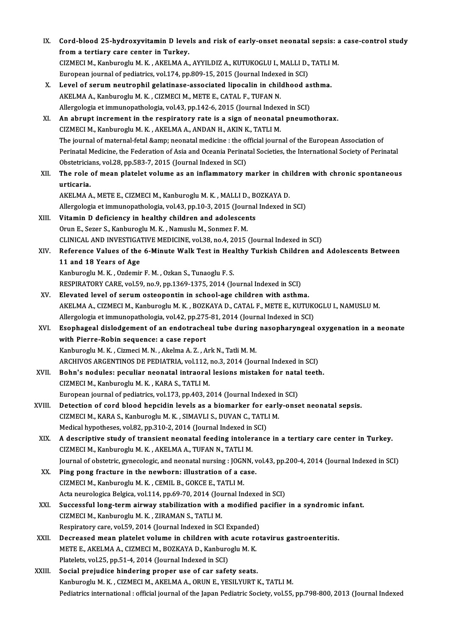| IX.    | Cord-blood 25-hydroxyvitamin D levels and risk of early-onset neonatal sepsis: a case-control study                                      |
|--------|------------------------------------------------------------------------------------------------------------------------------------------|
|        | from a tertiary care center in Turkey.                                                                                                   |
|        | CIZMECI M., Kanburoglu M. K., AKELMA A., AYYILDIZ A., KUTUKOGLU I., MALLI D., TATLI M.                                                   |
|        | European journal of pediatrics, vol.174, pp.809-15, 2015 (Journal Indexed in SCI)                                                        |
| X.     | Level of serum neutrophil gelatinase-associated lipocalin in childhood asthma.                                                           |
|        | AKELMA A., Kanburoglu M. K., CIZMECI M., METE E., CATAL F., TUFAN N.                                                                     |
|        | Allergologia et immunopathologia, vol.43, pp.142-6, 2015 (Journal Indexed in SCI)                                                        |
| XI.    | An abrupt increment in the respiratory rate is a sign of neonatal pneumothorax.                                                          |
|        | CIZMECI M., Kanburoglu M. K., AKELMA A., ANDAN H., AKIN K., TATLI M.                                                                     |
|        | The journal of maternal-fetal & neonatal medicine : the official journal of the European Association of                                  |
|        | Perinatal Medicine, the Federation of Asia and Oceania Perinatal Societies, the International Society of Perinatal                       |
|        | Obstetricians, vol.28, pp.583-7, 2015 (Journal Indexed in SCI)                                                                           |
| XII.   | The role of mean platelet volume as an inflammatory marker in children with chronic spontaneous                                          |
|        | urticaria.                                                                                                                               |
|        | AKELMA A., METE E., CIZMECI M., Kanburoglu M. K., MALLI D., BOZKAYA D.                                                                   |
|        | Allergologia et immunopathologia, vol.43, pp.10-3, 2015 (Journal Indexed in SCI)                                                         |
| XIII.  | Vitamin D deficiency in healthy children and adolescents                                                                                 |
|        | Orun E., Sezer S., Kanburoglu M. K., Namuslu M., Sonmez F. M.                                                                            |
|        | CLINICAL AND INVESTIGATIVE MEDICINE, vol.38, no.4, 2015 (Journal Indexed in SCI)                                                         |
| XIV.   | Reference Values of the 6-Minute Walk Test in Healthy Turkish Children and Adolescents Between                                           |
|        | 11 and 18 Years of Age                                                                                                                   |
|        | Kanburoglu M. K., Ozdemir F. M., Ozkan S., Tunaoglu F. S.                                                                                |
|        | RESPIRATORY CARE, vol.59, no.9, pp.1369-1375, 2014 (Journal Indexed in SCI)                                                              |
| XV.    | Elevated level of serum osteopontin in school-age children with asthma.                                                                  |
|        | AKELMA A., CIZMECI M., Kanburoglu M. K., BOZKAYA D., CATAL F., METE E., KUTUKOGLU I., NAMUSLU M.                                         |
|        | Allergologia et immunopathologia, vol.42, pp.275-81, 2014 (Journal Indexed in SCI)                                                       |
| XVI.   | Esophageal dislodgement of an endotracheal tube during nasopharyngeal oxygenation in a neonate                                           |
|        | with Pierre-Robin sequence: a case report                                                                                                |
|        | Kanburoglu M. K. , Cizmeci M. N. , Akelma A. Z. , Ark N., Tatli M. M.                                                                    |
|        | ARCHIVOS ARGENTINOS DE PEDIATRIA, vol.112, no.3, 2014 (Journal Indexed in SCI)                                                           |
| XVII.  | Bohn's nodules: peculiar neonatal intraoral lesions mistaken for natal teeth.                                                            |
|        | CIZMECI M., Kanburoglu M. K., KARA S., TATLI M.                                                                                          |
|        | European journal of pediatrics, vol.173, pp.403, 2014 (Journal Indexed in SCI)                                                           |
| XVIII. | Detection of cord blood hepcidin levels as a biomarker for early-onset neonatal sepsis.                                                  |
|        | CIZMECI M., KARA S., Kanburoglu M. K., SIMAVLI S., DUVAN C., TATLI M.                                                                    |
|        | Medical hypotheses, vol.82, pp.310-2, 2014 (Journal Indexed in SCI)                                                                      |
| XIX.   | A descriptive study of transient neonatal feeding intolerance in a tertiary care center in Turkey.                                       |
|        | CIZMECI M., Kanburoglu M. K., AKELMA A., TUFAN N., TATLI M.                                                                              |
|        | Journal of obstetric, gynecologic, and neonatal nursing : JOGNN, vol.43, pp.200-4, 2014 (Journal Indexed in SCI)                         |
| XX.    | Ping pong fracture in the newborn: illustration of a case.                                                                               |
|        | CIZMECI M., Kanburoglu M. K., CEMIL B., GOKCE E., TATLI M.<br>Acta neurologica Belgica, vol.114, pp.69-70, 2014 (Journal Indexed in SCI) |
|        | Successful long-term airway stabilization with a modified pacifier in a syndromic infant.                                                |
| XXI.   | CIZMECI M., Kanburoglu M. K., ZIRAMAN S., TATLI M.                                                                                       |
|        | Respiratory care, vol.59, 2014 (Journal Indexed in SCI Expanded)                                                                         |
| XXII.  | Decreased mean platelet volume in children with acute rotavirus gastroenteritis.                                                         |
|        | METE E., AKELMA A., CIZMECI M., BOZKAYA D., Kanburoglu M. K.                                                                             |
|        | Platelets, vol.25, pp.51-4, 2014 (Journal Indexed in SCI)                                                                                |
| XXIII. | Social prejudice hindering proper use of car safety seats.                                                                               |
|        | Kanburoglu M. K., CIZMECI M., AKELMA A., ORUN E., YESILYURT K., TATLI M.                                                                 |
|        | Pediatrics international: official journal of the Japan Pediatric Society, vol.55, pp.798-800, 2013 (Journal Indexed                     |
|        |                                                                                                                                          |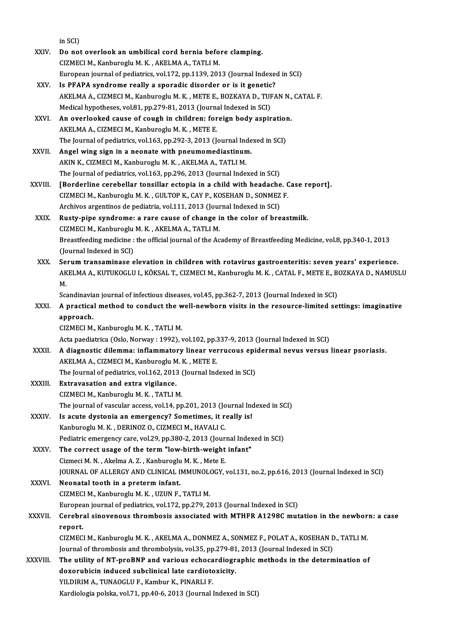|              | in SCI)                                                                                                                                                            |
|--------------|--------------------------------------------------------------------------------------------------------------------------------------------------------------------|
| XXIV.        | Do not overlook an umbilical cord hernia before clamping.                                                                                                          |
|              | CIZMECI M., Kanburoglu M. K., AKELMA A., TATLI M.                                                                                                                  |
|              | European journal of pediatrics, vol.172, pp.1139, 2013 (Journal Indexed in SCI)                                                                                    |
| XXV.         | Is PFAPA syndrome really a sporadic disorder or is it genetic?                                                                                                     |
|              | AKELMA A., CIZMECI M., Kanburoglu M. K., METE E., BOZKAYA D., TUFAN N., CATAL F.                                                                                   |
|              | Medical hypotheses, vol.81, pp.279-81, 2013 (Journal Indexed in SCI)                                                                                               |
| XXVI.        | An overlooked cause of cough in children: foreign body aspiration.                                                                                                 |
|              | AKELMA A., CIZMECI M., Kanburoglu M. K., METE E.                                                                                                                   |
|              | The Journal of pediatrics, vol.163, pp.292-3, 2013 (Journal Indexed in SCI)                                                                                        |
| XXVII.       | Angel wing sign in a neonate with pneumomediastinum.                                                                                                               |
|              | AKIN K., CIZMECI M., Kanburoglu M. K., AKELMA A., TATLI M.                                                                                                         |
|              | The Journal of pediatrics, vol.163, pp.296, 2013 (Journal Indexed in SCI)                                                                                          |
| XXVIII.      | [Borderline cerebellar tonsillar ectopia in a child with headache. Case report].                                                                                   |
|              | CIZMECI M., Kanburoglu M. K., GULTOP K., CAY P., KOSEHAN D., SONMEZ F.<br>Archivos argentinos de pediatria, vol.111, 2013 (Journal Indexed in SCI)                 |
| XXIX.        |                                                                                                                                                                    |
|              | Rusty-pipe syndrome: a rare cause of change in the color of breastmilk.                                                                                            |
|              | CIZMECI M., Kanburoglu M. K., AKELMA A., TATLI M.<br>Breastfeeding medicine : the official journal of the Academy of Breastfeeding Medicine, vol.8, pp.340-1, 2013 |
|              | (Journal Indexed in SCI)                                                                                                                                           |
| XXX.         | Serum transaminase elevation in children with rotavirus gastroenteritis: seven years' experience.                                                                  |
|              | AKELMA A., KUTUKOGLU I., KÖKSAL T., CIZMECI M., Kanburoglu M. K., CATAL F., METE E., BOZKAYA D., NAMUSLU                                                           |
|              | М.                                                                                                                                                                 |
|              | Scandinavian journal of infectious diseases, vol.45, pp.362-7, 2013 (Journal Indexed in SCI)                                                                       |
| XXXI.        | A practical method to conduct the well-newborn visits in the resource-limited settings: imaginative                                                                |
|              | approach.                                                                                                                                                          |
|              | CIZMECI M., Kanburoglu M. K., TATLI M.                                                                                                                             |
|              | Acta paediatrica (Oslo, Norway: 1992), vol.102, pp.337-9, 2013 (Journal Indexed in SCI)                                                                            |
| <b>XXXII</b> | A diagnostic dilemma: inflammatory linear verrucous epidermal nevus versus linear psoriasis.                                                                       |
|              | AKELMA A., CIZMECI M., Kanburoglu M. K., METE E.                                                                                                                   |
|              | The Journal of pediatrics, vol.162, 2013 (Journal Indexed in SCI)                                                                                                  |
| XXXIII.      | Extravasation and extra vigilance.                                                                                                                                 |
|              | CIZMECI M., Kanburoglu M. K., TATLI M.                                                                                                                             |
|              | The journal of vascular access, vol.14, pp.201, 2013 (Journal Indexed in SCI)                                                                                      |
| XXXIV.       | Is acute dystonia an emergency? Sometimes, it really is!                                                                                                           |
|              | Kanburoglu M. K., DERINOZ O., CIZMECI M., HAVALI C.                                                                                                                |
|              | Pediatric emergency care, vol.29, pp.380-2, 2013 (Journal Indexed in SCI)                                                                                          |
| <b>XXXV</b>  | The correct usage of the term "low-birth-weight infant"                                                                                                            |
|              | Cizmeci M. N., Akelma A. Z., Kanburoglu M. K., Mete E.                                                                                                             |
|              | JOURNAL OF ALLERGY AND CLINICAL IMMUNOLOGY, vol.131, no.2, pp.616, 2013 (Journal Indexed in SCI)                                                                   |
| <b>XXXVI</b> | Neonatal tooth in a preterm infant.                                                                                                                                |
|              | CIZMECI M., Kanburoglu M. K., UZUN F., TATLI M.                                                                                                                    |
|              | European journal of pediatrics, vol.172, pp.279, 2013 (Journal Indexed in SCI)                                                                                     |
| XXXVII.      | Cerebral sinovenous thrombosis associated with MTHFR A1298C mutation in the newborn: a case                                                                        |
|              | report.                                                                                                                                                            |
|              | CIZMECI M., Kanburoglu M. K., AKELMA A., DONMEZ A., SONMEZ F., POLAT A., KOSEHAN D., TATLI M.                                                                      |
|              | Journal of thrombosis and thrombolysis, vol.35, pp.279-81, 2013 (Journal Indexed in SCI)                                                                           |
| XXXVIII.     | The utility of NT-proBNP and various echocardiographic methods in the determination of                                                                             |
|              | doxorubicin induced subclinical late cardiotoxicity.                                                                                                               |
|              | YILDIRIM A., TUNAOGLU F., Kambur K., PINARLI F.                                                                                                                    |
|              | Kardiologia polska, vol.71, pp.40-6, 2013 (Journal Indexed in SCI)                                                                                                 |
|              |                                                                                                                                                                    |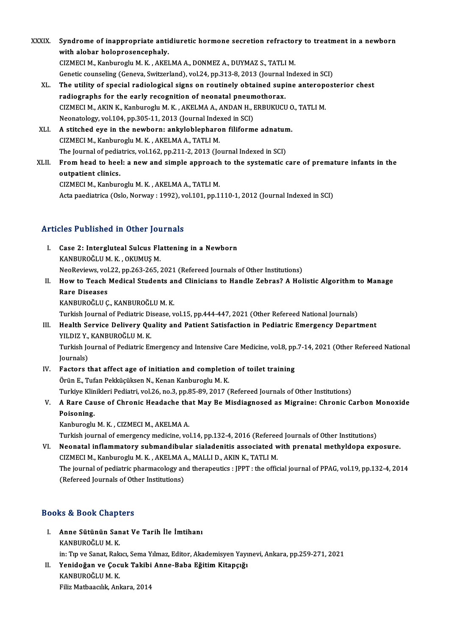- XXXIX. Syndrome of inappropriate antidiuretic hormone secretion refractory to treatment in a newborn<br>with alabar halannasanganhaly Syndrome of inappropriate anti-<br>with alobar holoprosencephaly.<br>CIZMECLM, Kanburosly M.K., AKEL Syndrome of inappropriate antidiuretic hormone secretion refractor<br>with alobar holoprosencephaly.<br>CIZMECI M., Kanburoglu M. K., AKELMA A., DONMEZ A., DUYMAZ S., TATLI M.<br>Cenetis sounseling (Ceneve Suitrerland), vel 24, pp with alobar holoprosencephaly.<br>CIZMECI M., Kanburoglu M. K. , AKELMA A., DONMEZ A., DUYMAZ S., TATLI M.<br>Genetic counseling (Geneva, Switzerland), vol.24, pp.313-8, 2013 (Journal Indexed in SCI)<br>The utility of special radio CIZMECI M., Kanburoglu M. K. , AKELMA A., DONMEZ A., DUYMAZ S., TATLI M.<br>Genetic counseling (Geneva, Switzerland), vol.24, pp.313-8, 2013 (Journal Indexed in SCI)<br>XL. The utility of special radiological signs on routinely Genetic counseling (Geneva, Switzerland), vol.24, pp.313-8, 2013 (Journal<br>The utility of special radiological signs on routinely obtained supinal<br>radiographs for the early recognition of neonatal pneumothorax.<br>CIZMECLM, AV
	- The utility of special radiological signs on routinely obtained supine anteroperadiographs for the early recognition of neonatal pneumothorax.<br>CIZMECI M., AKIN K., Kanburoglu M. K. , AKELMA A., ANDAN H., ERBUKUCU O., TATLI radiographs for the early recognition of neonatal pneum<br>CIZMECI M., AKIN K., Kanburoglu M. K., AKELMA A., ANDAN H., I<br>Neonatology, vol.104, pp.305-11, 2013 (Journal Indexed in SCI)<br>A stitched ave in the newborn: enlwleblen CIZMECI M., AKIN K., Kanburoglu M. K., AKELMA A., ANDAN H., ERBUKUCU C<br>Neonatology, vol.104, pp.305-11, 2013 (Journal Indexed in SCI)<br>XLI. A stitched eye in the newborn: ankyloblepharon filiforme adnatum.
	- Neonatology, vol.104, pp.305-11, 2013 (Journal Indexed in SCI)<br>A stitched eye in the newborn: ankyloblepharon filiforme adnatum.<br>CIZMECI M., Kanburoglu M. K., AKELMA A., TATLI M. A stitched eye in the newborn: ankyloblepharon filiforme adnatun<br>CIZMECI M., Kanburoglu M. K., AKELMA A., TATLI M.<br>The Journal of pediatrics, vol.162, pp.211-2, 2013 (Journal Indexed in SCI)<br>From bood to book a new and sim
- XLII. From head to heel: a new and simple approach to the systematic care of premature infants in the outpatient clinics. The Journal of pedia<br>From head to hee<br>outpatient clinics.<br>CIZMECLM, Kanbur

CIZMECIM.,KanburogluM.K. ,AKELMAA.,TATLIM. Acta paediatrica (Oslo, Norway : 1992), vol.101, pp.1110-1, 2012 (Journal Indexed in SCI)

## Articles Published in Other Journals

- rticles Published in Other Journals<br>I. Case 2: Intergluteal Sulcus Flattening in a Newborn<br>KANPUPOČLUM K. OKUMUS M SEE 2: Intergluteal Sulcus Flat.<br>Case 2: Intergluteal Sulcus Flat.<br>MeeBeviews vol.22, np.262,265. KANBUROĞLU M. K. , OKUMUŞ M.<br>NeoReviews, vol.22, pp.263-265, 2021 (Refereed Journals of Other Institutions) KANBUROĞLU M. K. , OKUMUŞ M.<br>NeoReviews, vol.22, pp.263-265, 2021 (Refereed Journals of Other Institutions)<br>II. How to Teach Medical Students and Clinicians to Handle Zebras? A Holistic Algorithm to Manage<br>Pare Disease
- NeoReviews, vol<br><mark>How to Teach</mark><br>Rare Diseases<br>KANPUPOČLU C How to Teach Medical Students al<br>Rare Diseases<br>KANBUROĞLU Ç., KANBUROĞLU M. K.<br>Turkich Journal of Podiatric Disease v Rare Diseases<br>KANBUROĞLU Ç., KANBUROĞLU M. K.<br>Turkish Journal of Pediatric Disease, vol.15, pp.444-447, 2021 (Other Refereed National Journals)

## KANBUROĞLU Ç., KANBUROĞLU M. K.<br>Turkish Journal of Pediatric Disease, vol.15, pp.444-447, 2021 (Other Refereed National Journals)<br>III. Health Service Delivery Quality and Patient Satisfaction in Pediatric Emergency Dep Turkish Journal of Pediatric Di<br>Health Service Delivery Qu<br>YILDIZ Y., KANBUROĞLU M. K.<br>Turkish Journal of Pediatric Er Health Service Delivery Quality and Patient Satisfaction in Pediatric Emergency Department<br>YILDIZ Y., KANBUROĞLU M. K.<br>Turkish Journal of Pediatric Emergency and Intensive Care Medicine, vol.8, pp.7-14, 2021 (Other Referee

YILDIZ Y., KANBUROĞLU M. K.<br>Turkish Journal of Pediatric Emergency and Intensive Care Medicine, vol.8, pp.7-14, 2021 (Other Refereed National<br>Journals) Turkish Journal of Pediatric Emergency and Intensive Care Medicine, vol.8, pp<br>Journals)<br>IV. Factors that affect age of initiation and completion of toilet training<br>Önün E. Tufon Pekküsüksen N. Kanan Kanbungglu M. K.

- Journals)<br>Factors that affect age of initiation and completio<br>Örün E., Tufan Pekküçüksen N., Kenan Kanburoglu M. K.<br>Turkiye Klinikleri Bediatri vel 26 no 2 np 95 90 2017 ( Örün E., Tufan Pekküçüksen N., Kenan Kanburoglu M. K.<br>Turkiye Klinikleri Pediatri, vol.26, no.3, pp.85-89, 2017 (Refereed Journals of Other Institutions) Örün E., Tufan Pekküçüksen N., Kenan Kanburoglu M. K.<br>Turkiye Klinikleri Pediatri, vol.26, no.3, pp.85-89, 2017 (Refereed Journals of Other Institutions)<br>V. A Rare Cause of Chronic Headache that May Be Misdiagnosed as
- Turkiye Klin<br>A Rare Cau<br>Poisoning.<br>Kanburesh A Rare Cause of Chronic Headache tha<br>Poisoning.<br>Kanburoglu M.K. , CIZMECI M., AKELMA A.<br>Turkich journal of emergengy medicine vo Poisoning.<br>Kanburoglu M. K. , CIZMECI M., AKELMA A.<br>Turkish journal of emergency medicine, vol.14, pp.132-4, 2016 (Refereed Journals of Other Institutions)

VI. Neonatal inflammatory submandibular sialadenitis associated with prenatalmethyldopa exposure. CIZMECIM.,KanburogluM.K. ,AKELMAA.,MALLID.,AKINK.,TATLIM. Neonatal inflammatory submandibular sialadenitis associated with prenatal methyldopa exposure.<br>CIZMECI M., Kanburoglu M. K. , AKELMA A., MALLI D., AKIN K., TATLI M.<br>The journal of pediatric pharmacology and therapeutics : CIZMECI M., Kanburoglu M. K. , AKELMA /<br>The journal of pediatric pharmacology an<br>(Refereed Journals of Other Institutions) (Refereed Journals of Other Institutions)<br>Books & Book Chapters

OOks & Book Chapters<br>I. – Anne Sütünün Sanat Ve Tarih İle İmtihanı<br>KANPUPOČLU M-K kə & Book dhap.<br>Anne Sütünün San<br>KANBUROĞLU M. K. KANBUROĞLU M. K.<br>in: Tıp ve Sanat, Rakıcı, Sema Yılmaz, Editor, Akademisyen Yayınevi, Ankara, pp.259-271, 2021 KANBUROĞLU M. K.<br>in: Tıp ve Sanat, Rakıcı, Sema Yılmaz, Editor, Akademisyen Yayı<br>II. Yenidoğan ve Çocuk Takibi Anne-Baba Eğitim Kitapçığı<br>KANBUROĞU IM K

in: Tıp ve Sanat, Rak<br><mark>Yenidoğan ve Çoc</mark><br>KANBUROĞLU M. K.<br><sup>Eilir</sup> Matbaasılık An Yenidoğan ve Çocuk Takibi<br>KANBUROĞLU M. K.<br>Filiz Matbaacılık, Ankara, 2014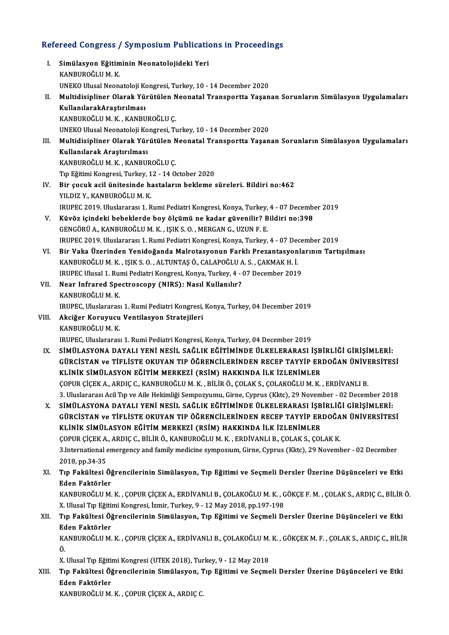# Refereed Congress / Symposium Publications in Proceedings<br>Refereed Congress / Symposium Publications in Proceedings

| Refereed Congress / Symposium Publications in Proceedings |                                                                                                                                                                           |  |
|-----------------------------------------------------------|---------------------------------------------------------------------------------------------------------------------------------------------------------------------------|--|
| L                                                         | Simülasyon Eğitiminin Neonatolojideki Yeri                                                                                                                                |  |
|                                                           | KANBUROĞLU M.K.                                                                                                                                                           |  |
|                                                           | UNEKO Ulusal Neonatoloji Kongresi, Turkey, 10 - 14 December 2020                                                                                                          |  |
| П.                                                        | Multidisipliner Olarak Yürütülen Neonatal Transportta Yaşanan Sorunların Simülasyon Uygulamaları                                                                          |  |
|                                                           | KullanılarakAraştırılması                                                                                                                                                 |  |
|                                                           | KANBUROĞLU M. K., KANBUROĞLU Ç.                                                                                                                                           |  |
|                                                           | UNEKO Ulusal Neonatoloji Kongresi, Turkey, 10 - 14 December 2020                                                                                                          |  |
| Ш.                                                        | Multidisipliner Olarak Yürütülen Neonatal Transportta Yaşanan Sorunların Simülasyon Uygulamaları                                                                          |  |
|                                                           | Kullanılarak Araştırılması                                                                                                                                                |  |
|                                                           | KANBUROĞLU M. K., KANBUROĞLU Ç.                                                                                                                                           |  |
| IV.                                                       | Tıp Eğitimi Kongresi, Turkey, 12 - 14 October 2020<br>Bir çocuk acil ünitesinde hastaların bekleme süreleri. Bildiri no:462                                               |  |
|                                                           | YILDIZ Y., KANBUROĞLU M. K.                                                                                                                                               |  |
|                                                           | IRUPEC 2019. Uluslararası 1. Rumi Pediatri Kongresi, Konya, Turkey, 4 - 07 December 2019                                                                                  |  |
| V.                                                        | Küvöz içindeki bebeklerde boy ölçümü ne kadar güvenilir? Bildiri no:398                                                                                                   |  |
|                                                           | GENGÖRÜ A., KANBUROĞLU M. K., IŞIK S. O., MERGAN G., UZUN F. E.                                                                                                           |  |
|                                                           | IRUPEC 2019. Uluslararası 1. Rumi Pediatri Kongresi, Konya, Turkey, 4 - 07 December 2019                                                                                  |  |
| VI.                                                       | Bir Vaka Üzerinden Yenidoğanda Malrotasyonun Farklı Prezantasyonlarının Tartışılması                                                                                      |  |
|                                                           | KANBUROĞLU M. K., IŞIK S. O., ALTUNTAŞ Ö., CALAPOĞLU A. S., ÇAKMAK H. İ.                                                                                                  |  |
|                                                           | IRUPEC Ulusal 1. Rumi Pediatri Kongresi, Konya, Turkey, 4 - 07 December 2019                                                                                              |  |
| VII.                                                      | Near Infrared Spectroscopy (NIRS): Nasıl Kullanılır?                                                                                                                      |  |
|                                                           | KANBUROĞLU M.K.                                                                                                                                                           |  |
|                                                           | IRUPEC, Uluslararası 1. Rumi Pediatri Kongresi, Konya, Turkey, 04 December 2019                                                                                           |  |
| VIII.                                                     | Akciğer Koruyucu Ventilasyon Stratejileri                                                                                                                                 |  |
|                                                           | KANBUROĞLU M.K.                                                                                                                                                           |  |
|                                                           | IRUPEC, Uluslararası 1. Rumi Pediatri Kongresi, Konya, Turkey, 04 December 2019                                                                                           |  |
| IX.                                                       | SİMÜLASYONA DAYALI YENİ NESİL SAĞLIK EĞİTİMİNDE ÜLKELERARASI İŞBİRLİĞİ GİRİŞİMLERİ:                                                                                       |  |
|                                                           | GÜRCİSTAN ve TİFLİSTE OKUYAN TIP ÖĞRENCİLERİNDEN RECEP TAYYİP ERDOĞAN ÜNİVERSİTESİ                                                                                        |  |
|                                                           | KLİNİK SİMÜLASYON EĞİTİM MERKEZİ (RSİM) HAKKINDA İLK İZLENİMLER                                                                                                           |  |
|                                                           | ÇOPUR ÇİÇEK A., ARDIÇ C., KANBUROĞLU M. K., BİLİR Ö., ÇOLAK S., ÇOLAKOĞLU M. K., ERDİVANLI B.                                                                             |  |
|                                                           | 3. Uluslararası Acil Tıp ve Aile Hekimliği Sempozyumu, Girne, Cyprus (Kktc), 29 November - 02 December 2018                                                               |  |
| X.                                                        | SİMÜLASYONA DAYALI YENİ NESİL SAĞLIK EĞİTİMİNDE ÜLKELERARASI İŞBİRLİĞİ GİRİŞİMLERİ:<br>GÜRCİSTAN ve TİFLİSTE OKUYAN TIP ÖĞRENCİLERİNDEN RECEP TAYYİP ERDOĞAN ÜNİVERSİTESİ |  |
|                                                           | KLİNİK SİMÜLASYON EĞİTİM MERKEZİ (RSİM) HAKKINDA İLK İZLENİMLER                                                                                                           |  |
|                                                           | ÇOPUR ÇİÇEK A., ARDIÇ C., BİLİR Ö., KANBUROĞLU M. K., ERDİVANLI B., ÇOLAK S., ÇOLAK K.                                                                                    |  |
|                                                           | 3. International emergency and family medicine symposium, Girne, Cyprus (Kktc), 29 November - 02 December                                                                 |  |
|                                                           | 2018, pp 34-35                                                                                                                                                            |  |
| XI.                                                       | Tıp Fakültesi Öğrencilerinin Simülasyon, Tıp Eğitimi ve Seçmeli Dersler Üzerine Düşünceleri ve Etki                                                                       |  |
|                                                           | Eden Faktörler                                                                                                                                                            |  |
|                                                           | KANBUROĞLU M. K., ÇOPUR ÇİÇEK A., ERDİVANLI B., ÇOLAKOĞLU M. K., GÖKÇE F. M., ÇOLAK S., ARDIÇ C., BİLİR Ö.                                                                |  |
|                                                           | X. Ulusal Tıp Eğitimi Kongresi, İzmir, Turkey, 9 - 12 May 2018, pp.197-198                                                                                                |  |
| XII.                                                      | Tıp Fakültesi Öğrencilerinin Simülasyon, Tıp Eğitimi ve Seçmeli Dersler Üzerine Düşünceleri ve Etki                                                                       |  |
|                                                           | Eden Faktörler                                                                                                                                                            |  |
|                                                           | KANBUROĞLU M. K., ÇOPUR ÇİÇEK A., ERDİVANLI B., ÇOLAKOĞLU M. K., GÖKÇEK M. F., ÇOLAK S., ARDIÇ C., BİLİR                                                                  |  |
|                                                           | Ö.                                                                                                                                                                        |  |
|                                                           | X. Ulusal Tıp Eğitimi Kongresi (UTEK 2018), Turkey, 9 - 12 May 2018                                                                                                       |  |
| XIII.                                                     | Tıp Fakültesi Öğrencilerinin Simülasyon, Tıp Eğitimi ve Seçmeli Dersler Üzerine Düşünceleri ve Etki                                                                       |  |
|                                                           | Eden Faktörler                                                                                                                                                            |  |
|                                                           | KANBUROĞLU M. K., ÇOPUR ÇİÇEK A., ARDIÇ C.                                                                                                                                |  |
|                                                           |                                                                                                                                                                           |  |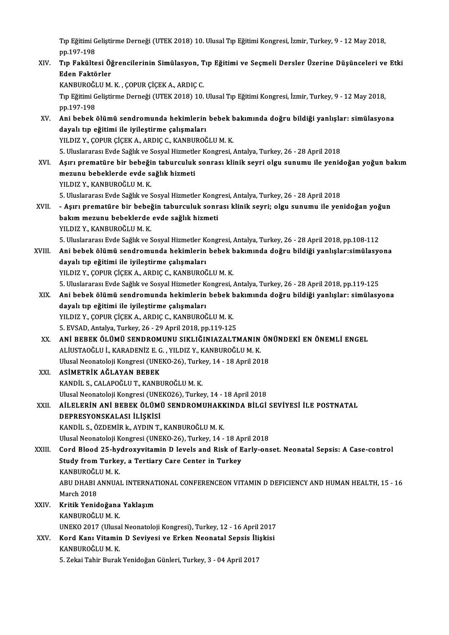Tıp Eğitimi Geliştirme Derneği (UTEK 2018) 10. Ulusal Tıp Eğitimi Kongresi, İzmir, Turkey, 9 - 12 May 2018,<br>nn 197 198 Tıp Eğitimi G<br>pp.197-198<br>Tıp Fekülte Tıp Eğitimi Geliştirme Derneği (UTEK 2018) 10. Ulusal Tıp Eğitimi Kongresi, İzmir, Turkey, 9 - 12 May 2018,<br>pp.197-198<br>XIV. Tıp Fakültesi Öğrencilerinin Simülasyon, Tıp Eğitimi ve Seçmeli Dersler Üzerine Düşünceleri ve

pp.197-198<br>Tıp Fakültesi Öğ<br>Eden Faktörler<br>KANBUROČUJM Tıp Fakültesi Öğrencilerinin Simülasyon, T<br>Eden Faktörler<br>KANBUROĞLU M. K. , ÇOPUR ÇİÇEK A., ARDIÇ C.<br>Tın Fğitimi Celistirme Derneği (UTEK 2019) 10

Eden Faktörler<br>KANBUROĞLU M. K. , ÇOPUR ÇİÇEK A., ARDIÇ C.<br>Tıp Eğitimi Geliştirme Derneği (UTEK 2018) 10. Ulusal Tıp Eğitimi Kongresi, İzmir, Turkey, 9 - 12 May 2018,<br>pp.197-198 KANBUROĞI<br>Tıp Eğitimi G<br>pp.197-198<br>Ani bebek Tıp Eğitimi Geliştirme Derneği (UTEK 2018) 10. Ulusal Tıp Eğitimi Kongresi, İzmir, Turkey, 9 - 12 May 2018,<br>pp.197-198<br>XV. Ani bebek ölümü sendromunda hekimlerin bebek bakımında doğru bildiği yanlışlar: simülasyona<br>dav

- pp.197-198<br>Ani bebek ölümü sendromunda hekimlerin<br>dayalı tıp eğitimi ile iyileştirme çalışmaları<br>YU DIZ Y. COBUR CİCEK A. ARDIC C. KANRUROĞ dayalı tıp eğitimi ile iyileştirme çalışmaları<br>YILDIZ Y., ÇOPUR ÇİÇEK A., ARDIÇ C., KANBUROĞLU M. K. 5.UluslararasıEvde Sağlıkve SosyalHizmetlerKongresi,Antalya,Turkey,26 -28April2018
- XVI. Aşırı prematüre bir bebeğin taburculuk sonrası klinik seyri olgu sunumu ile yenidoğan yoğun bakım 5. Uluslararası Evde Sağlık ve Sosyal Hizmetle<br>Aşırı prematüre bir bebeğin taburculuk<br>mezunu bebeklerde evde sağlık hizmeti<br>YU DIZ V. KANPUROČLUM K Aşırı prematüre bir bebeği<br>mezunu bebeklerde evde s<br>YILDIZ Y., KANBUROĞLU M. K.<br>E. Uluslararası Evde Seğlikve S
	-

mezunu bebeklerde evde sağlık hizmeti<br>1997 - YILDIZ Y., KANBUROĞLU M. K.<br>5. Uluslararası Evde Sağlık ve Sosyal Hizmetler Kongresi, Antalya, Turkey, 26 - 28 April 2018<br>- Asını promotüre bir bebeğin tebureyluk sonrası klipik

YILDIZ Y., KANBUROĞLU M. K.<br>5. Uluslararası Evde Sağlık ve Sosyal Hizmetler Kongresi, Antalya, Turkey, 26 - 28 April 2018<br>XVII. - Aşırı prematüre bir bebeğin taburculuk sonrası klinik seyri; olgu sunumu ile yenidoğan y 5. Uluslararası Evde Sağlık ve Sosyal Hizmetler Kong<br>- Aşırı prematüre bir bebeğin taburculuk sonr<br>bakım mezunu bebeklerde evde sağlık hizmeti<br>vu DIZ V. KANBUROĞLUM K - Aşırı prematüre bir bebej<br>bakım mezunu bebeklerde<br>YILDIZ Y., KANBUROĞLU M. K.<br>E. Uluslararası Evde Seğlikve S bakım mezunu bebeklerde evde sağlık hizmeti<br>YILDIZ Y., KANBUROĞLU M. K.<br>5. Uluslararası Evde Sağlık ve Sosyal Hizmetler Kongresi, Antalya, Turkey, 26 - 28 April 2018, pp.108-112<br>Ani bebek ölümü sendremunda bekimlerin bebek YILDIZ Y., KANBUROĞLU M. K.<br>5. Uluslararası Evde Sağlık ve Sosyal Hizmetler Kongresi, Antalya, Turkey, 26 - 28 April 2018, pp.108-112<br>3. Ani bebek ölümü sendromunda hekimlerin bebek bakımında doğru bildiği yanlışlar:simüla

5. Uluslararası Evde Sağlık ve Sosyal Hizmetler K<br>Ani bebek ölümü sendromunda hekimlerin<br>dayalı tıp eğitimi ile iyileştirme çalışmaları<br>YU DIZ Y. COBUR CİCEK A. ARDIC C. KANRUROĞ Ani bebek ölümü sendromunda hekimlerin bebek b<br>dayalı tıp eğitimi ile iyileştirme çalışmaları<br>YILDIZ Y., ÇOPUR ÇİÇEK A., ARDIÇ C., KANBUROĞLU M. K.<br>5. Uluslararası Evde Sağlık ve Sesval Hizmatlar Konsresi dayalı tıp eğitimi ile iyileştirme çalışmaları<br>19. YILDIZ Y., ÇOPUR ÇİÇEK A., ARDIÇ C., KANBUROĞLU M. K.<br>5. Uluslararası Evde Sağlık ve Sosyal Hizmetler Kongresi, Antalya, Turkey, 26 - 28 April 2018, pp.119-125

YILDIZ Y., ÇOPUR ÇİÇEK A., ARDIÇ C., KANBUROĞLU M. K.<br>5. Uluslararası Evde Sağlık ve Sosyal Hizmetler Kongresi, Antalya, Turkey, 26 - 28 April 2018, pp.119-125<br>XIX. Ani bebek ölümü sendromunda hekimlerin bebek bakımınd dayalı tıp eğitimi ile iyileştirme çalışmaları Ani bebek ölümü sendromunda hekimlerin bebek b<br>dayalı tıp eğitimi ile iyileştirme çalışmaları<br>YILDIZ Y., ÇOPUR ÇİÇEK A., ARDIÇ C., KANBUROĞLU M. K.<br>5. EVSAD Antalya Turkov 26., 29 Anril 2019, pp.119.125

5.EVSAD,Antalya,Turkey,26 -29April2018,pp.119-125

- XX. ANİ BEBEK ÖLÜMÜ SENDROMUNU SIKLIĞINIAZALTMANIN ÖNÜNDEKİ EN ÖNEMLİ ENGEL 5. EVSAD, Antalya, Turkey, 26 - 29 April 2018, pp.119-125<br>**ANİ BEBEK ÖLÜMÜ SENDROMUNU SIKLIĞINIAZALTMANIN**<br>ALİUSTAOĞLU İ., KARADENİZ E. G. , YILDIZ Y., KANBUROĞLU M. K.<br>Ulusel Neonatoleji Kongresi (UNEKO 26), Turkey, 14, 1 ANİ BEBEK ÖLÜMÜ SENDROMUNU SIKLIĞINIAZALTMANIN ÖN<br>ALİUSTAOĞLU İ., KARADENİZ E. G. , YILDIZ Y., KANBUROĞLU M. K.<br>Ulusal Neonatoloji Kongresi (UNEKO-26), Turkey, 14 - 18 April 2018<br>ASİMETRİK AĞLAYAN BEREK ALİUSTAOĞLU İ., KARADENİZ E. G<br>Ulusal Neonatoloji Kongresi (UNE<br>XXI. ASİMETRİK AĞLAYAN BEBEK<br>KANDİL S CALAPOĞLU T KANPI
- Ulusal Neonatoloji Kongresi (UNEKO-26), Turkey, 14 18 April 2018<br>ASİMETRİK AĞLAYAN BEBEK<br>KANDİL S., CALAPOĞLU T., KANBUROĞLU M. K. Ulusal Neonatoloji Kongresi (UNEKO26), Turkey, 14 - 18 April 2018 KANDİL S., CALAPOĞLU T., KANBUROĞLU M. K.<br>Ulusal Neonatoloji Kongresi (UNEKO26), Turkey, 14 - 18 April 2018<br>XXII. — AİLELERİN ANİ BEBEK ÖLÜMÜ SENDROMUHAKKINDA BİLGİ SEVİYESİ İLE POSTNATAL<br>REPRESYONSKALASLI İSKISI

## DEPRESYONSKALASI İLİŞKİSİ<br>KANDİL S., ÖZDEMİR k., AYDIN T., KANBUROĞLU M. K. AİLELERİN ANİ BEBEK ÖLÜMÜ SENDROMUHAKK<br>DEPRESYONSKALASI İLİŞKİSİ<br>KANDİL S., ÖZDEMİR k., AYDIN T., KANBUROĞLU M. K.<br>Hivçel Neonateleji Kongresi (UNEKO 26), Turkey, 14

Ulusal Neonatoloji Kongresi (UNEKO-26), Turkey, 14 - 18 April 2018

## KANDİL S., ÖZDEMİR k., AYDIN T., KANBUROĞLU M. K.<br>Ulusal Neonatoloji Kongresi (UNEKO-26), Turkey, 14 - 18 April 2018<br>XXIII. Cord Blood 25-hydroxyvitamin D levels and Risk of Early-onset. Neonatal Sepsis: A Case-control Ulusal Neonatoloji Kongresi (UNEKO-26), Turkey, 14 - 18 Ap<br>Cord Blood 25-hydroxyvitamin D levels and Risk of E<br>Study from Turkey, a Tertiary Care Center in Turkey<br>KANBUROČLUM K Cord Blood 25-hy<br>Study from Turke<br>KANBUROĞLU M. K.<br>ABU DHABI ANNIJA Study from Turkey, a Tertiary Care Center in Turkey<br>KANBUROĞLU M. K.<br>ABU DHABI ANNUAL INTERNATIONAL CONFERENCEON VITAMIN D DEFICIENCY AND HUMAN HEALTH, 15 - 16<br>March 2019 KANBUROĞL<br>ABU DHABI *I*<br>March 2018<br>Kritik Xonid

ABU DHABI ANNUAL INTERNAT<br>March 2018<br>XXIV. Kritik Yenidoğana Yaklaşım<br>KANBUROĞLUM K March 2018<br><mark>Kritik Yenidoğana</mark><br>KANBUROĞLU M. K.<br>UNEKO 2017 (Uluca KANBUROĞLU M. K.<br>UNEKO 2017 (Ulusal Neonatoloji Kongresi), Turkey, 12 - 16 April 2017 XXV. Kord Kanı Vitamin D Seviyesi ve Erken Neonatal Sepsis İlişkisi KANBUROĞLUM.K.

5. Zekai Tahir Burak Yenidoğan Günleri, Turkey, 3 - 04 April 2017